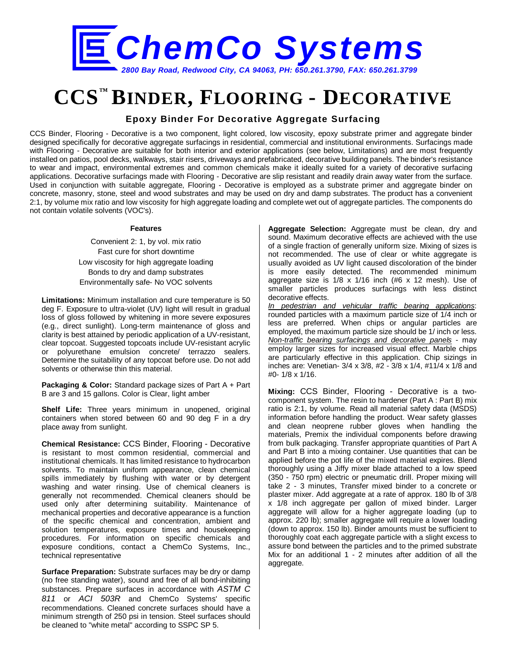

# **CCS™ BINDER, FLOORING - DECORATIVE**

## **Epoxy Binder For Decorative Aggregate Surfacing**

CCS Binder, Flooring - Decorative is a two component, light colored, low viscosity, epoxy substrate primer and aggregate binder designed specifically for decorative aggregate surfacings in residential, commercial and institutional environments. Surfacings made with Flooring - Decorative are suitable for both interior and exterior applications (see below, Limitations) and are most frequently installed on patios, pool decks, walkways, stair risers, driveways and prefabricated, decorative building panels. The binder's resistance to wear and impact, environmental extremes and common chemicals make it ideally suited for a variety of decorative surfacing applications. Decorative surfacings made with Flooring - Decorative are slip resistant and readily drain away water from the surface. Used in conjunction with suitable aggregate, Flooring - Decorative is employed as a substrate primer and aggregate binder on concrete, masonry, stone, steel and wood substrates and may be used on dry and damp substrates. The product has a convenient 2:1, by volume mix ratio and low viscosity for high aggregate loading and complete wet out of aggregate particles. The components do not contain volatile solvents (VOC's).

### **Features**

Convenient 2: 1, by vol. mix ratio Fast cure for short downtime Low viscosity for high aggregate loading Bonds to dry and damp substrates Environmentally safe- No VOC solvents

**Limitations:** Minimum installation and cure temperature is 50 deg F. Exposure to ultra-violet (UV) light will result in gradual loss of gloss followed by whitening in more severe exposures (e.g., direct sunlight). Long-term maintenance of gloss and clarity is best attained by periodic application of a UV-resistant, clear topcoat. Suggested topcoats include UV-resistant acrylic or polyurethane emulsion concrete/ terrazzo sealers. Determine the suitability of any topcoat before use. Do not add solvents or otherwise thin this material.

**Packaging & Color:** Standard package sizes of Part A + Part B are 3 and 15 gallons. Color is Clear, light amber

**Shelf Life:** Three years minimum in unopened, original containers when stored between 60 and 90 deg F in a dry place away from sunlight.

**Chemical Resistance:** CCS Binder, Flooring - Decorative is resistant to most common residential, commercial and institutional chemicals. It has limited resistance to hydrocarbon solvents. To maintain uniform appearance, clean chemical spills immediately by flushing with water or by detergent washing and water rinsing. Use of chemical cleaners is generally not recommended. Chemical cleaners should be used only after determining suitability. Maintenance of mechanical properties and decorative appearance is a function of the specific chemical and concentration, ambient and solution temperatures, exposure times and housekeeping procedures. For information on specific chemicals and exposure conditions, contact a ChemCo Systems, Inc., technical representative

**Surface Preparation:** Substrate surfaces may be dry or damp (no free standing water), sound and free of all bond-inhibiting substances. Prepare surfaces in accordance with *ASTM C 811* or *ACI 503R* and ChemCo Systems' specific recommendations. Cleaned concrete surfaces should have a minimum strength of 250 psi in tension. Steel surfaces should be cleaned to "white metal" according to SSPC SP 5.

**Aggregate Selection:** Aggregate must be clean, dry and sound. Maximum decorative effects are achieved with the use of a single fraction of generally uniform size. Mixing of sizes is not recommended. The use of clear or white aggregate is usually avoided as UV light caused discoloration of the binder is more easily detected. The recommended minimum aggregate size is 1/8 x 1/16 inch (#6 x 12 mesh). Use of smaller particles produces surfacings with less distinct decorative effects.

*In pedestrian and vehicular traffic bearing applications*: rounded particles with a maximum particle size of 1/4 inch or less are preferred. When chips or angular particles are employed, the maximum particle size should be 1/ inch or less. *Non-traffic bearing surfacings and decorative panels* - may employ larger sizes for increased visual effect. Marble chips are particularly effective in this application. Chip sizings in inches are: Venetian- 3/4 x 3/8, #2 - 3/8 x 1/4, #11/4 x 1/8 and #0- 1/8 x 1/16.

**Mixing:** CCS Binder, Flooring - Decorative is a twocomponent system. The resin to hardener (Part A : Part B) mix ratio is 2:1, by volume. Read all material safety data (MSDS) information before handling the product. Wear safety glasses and clean neoprene rubber gloves when handling the materials, Premix the individual components before drawing from bulk packaging. Transfer appropriate quantities of Part A and Part B into a mixing container. Use quantities that can be applied before the pot life of the mixed material expires. Blend thoroughly using a Jiffy mixer blade attached to a low speed (350 - 750 rpm) electric or pneumatic drill. Proper mixing will take 2 - 3 minutes, Transfer mixed binder to a concrete or plaster mixer. Add aggregate at a rate of approx. 180 lb of 3/8 x 1/8 inch aggregate per gallon of mixed binder. Larger aggregate will allow for a higher aggregate loading (up to approx. 220 lb); smaller aggregate will require a lower loading (down to approx. 150 lb). Binder amounts must be sufficient to thoroughly coat each aggregate particle with a slight excess to assure bond between the particles and to the primed substrate Mix for an additional 1 - 2 minutes after addition of all the aggregate.